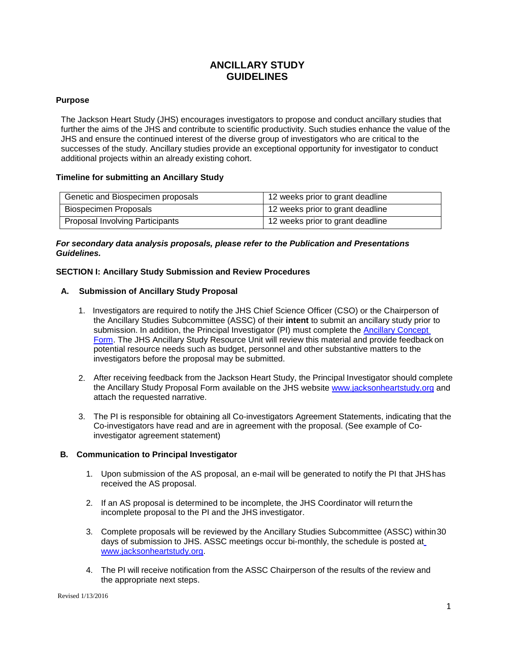# **ANCILLARY STUDY GUIDELINES**

## **Purpose**

The Jackson Heart Study (JHS) encourages investigators to propose and conduct ancillary studies that further the aims of the JHS and contribute to scientific productivity. Such studies enhance the value of the JHS and ensure the continued interest of the diverse group of investigators who are critical to the successes of the study. Ancillary studies provide an exceptional opportunity for investigator to conduct additional projects within an already existing cohort.

## **Timeline for submitting an Ancillary Study**

| Genetic and Biospecimen proposals      | 12 weeks prior to grant deadline |
|----------------------------------------|----------------------------------|
| <b>Biospecimen Proposals</b>           | 12 weeks prior to grant deadline |
| <b>Proposal Involving Participants</b> | 12 weeks prior to grant deadline |

## *For secondary data analysis proposals, please refer to the Publication and Presentations Guidelines.*

## **SECTION I: Ancillary Study Submission and Review Procedures**

## **A. Submission of Ancillary Study Proposal**

- 1. Investigators are required to notify the JHS Chief Science Officer (CSO) or the Chairperson of the Ancillary Studies Subcommittee (ASSC) of their **intent** to submit an ancillary study prior to submission. In addition, the Principal Investigator (PI) must complete the **[Ancillary Concept](https://www.jacksonheartstudy.org/Internal/tabid/294/Default.aspx)** [Form.](https://www.jacksonheartstudy.org/Internal/tabid/294/Default.aspx) The JHS Ancillary Study Resource Unit will review this material and provide feedback on potential resource needs such as budget, personnel and other substantive matters to the investigators before the proposal may be submitted.
- 2. After receiving feedback from the Jackson Heart Study, the Principal Investigator should complete the Ancillary Study Proposal Form available on the JHS website [www.jacksonheartstudy.org](http://www.jacksonheartstudy.org/) and attach the requested narrative.
- 3. The PI is responsible for obtaining all Co-investigators Agreement Statements, indicating that the Co-investigators have read and are in agreement with the proposal. (See example of Coinvestigator agreement statement)

### **B. Communication to Principal Investigator**

- 1. Upon submission of the AS proposal, an e-mail will be generated to notify the PI that JHShas received the AS proposal.
- 2. If an AS proposal is determined to be incomplete, the JHS Coordinator will return the incomplete proposal to the PI and the JHS investigator.
- 3. Complete proposals will be reviewed by the Ancillary Studies Subcommittee (ASSC) within30 days of submission to JHS. ASSC meetings occur bi-monthly, the schedule is posted at [www.jacksonheartstudy.org.](http://www.jacksonheartstudy.org/)
- 4. The PI will receive notification from the ASSC Chairperson of the results of the review and the appropriate next steps.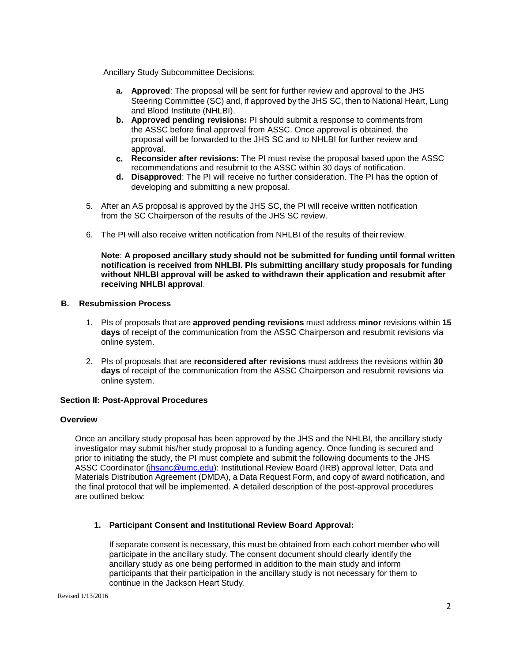Ancillary Study Subcommittee Decisions:

- **a. Approved**: The proposal will be sent for further review and approval to the JHS Steering Committee (SC) and, if approved by the JHS SC, then to National Heart, Lung and Blood Institute (NHLBI).
- **b. Approved pending revisions:** PI should submit a response to comments from the ASSC before final approval from ASSC. Once approval is obtained, the proposal will be forwarded to the JHS SC and to NHLBI for further review and approval.
- **c. Reconsider after revisions:** The PI must revise the proposal based upon the ASSC recommendations and resubmit to the ASSC within 30 days of notification.
- **d. Disapproved**: The PI will receive no further consideration. The PI has the option of developing and submitting a new proposal.
- 5. After an AS proposal is approved by the JHS SC, the PI will receive written notification from the SC Chairperson of the results of the JHS SC review.
- 6. The PI will also receive written notification from NHLBI of the results of theirreview.

**Note**: **A proposed ancillary study should not be submitted for funding until formal written notification is received from NHLBI. PIs submitting ancillary study proposals for funding without NHLBI approval will be asked to withdrawn their application and resubmit after receiving NHLBI approval**.

## **B. Resubmission Process**

- 1. PIs of proposals that are **approved pending revisions** must address **minor** revisions within **15 days** of receipt of the communication from the ASSC Chairperson and resubmit revisions via online system.
- 2. PIs of proposals that are **reconsidered after revisions** must address the revisions within **30 days** of receipt of the communication from the ASSC Chairperson and resubmit revisions via online system.

### **Section II: Post-Approval Procedures**

#### **Overview**

Once an ancillary study proposal has been approved by the JHS and the NHLBI, the ancillary study investigator may submit his/her study proposal to a funding agency. Once funding is secured and prior to initiating the study, the PI must complete and submit the following documents to the JHS ASSC Coordinator [\(jhsanc@umc.edu\)](mailto:jhsanc@umc.edu): Institutional Review Board (IRB) approval letter, Data and Materials Distribution Agreement (DMDA), a Data Request Form, and copy of award notification, and the final protocol that will be implemented. A detailed description of the post-approval procedures are outlined below:

### **1. Participant Consent and Institutional Review Board Approval:**

If separate consent is necessary, this must be obtained from each cohort member who will participate in the ancillary study. The consent document should clearly identify the ancillary study as one being performed in addition to the main study and inform participants that their participation in the ancillary study is not necessary for them to continue in the Jackson Heart Study.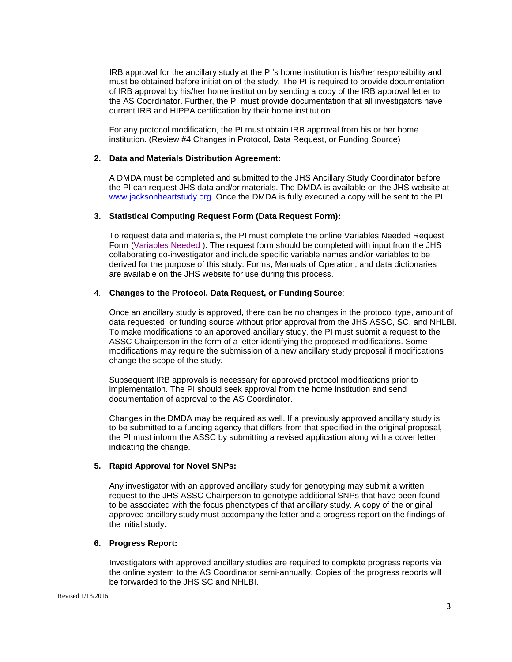IRB approval for the ancillary study at the PI's home institution is his/her responsibility and must be obtained before initiation of the study. The PI is required to provide documentation of IRB approval by his/her home institution by sending a copy of the IRB approval letter to the AS Coordinator. Further, the PI must provide documentation that all investigators have current IRB and HIPPA certification by their home institution.

For any protocol modification, the PI must obtain IRB approval from his or her home institution. (Review #4 Changes in Protocol, Data Request, or Funding Source)

#### **2. Data and Materials Distribution Agreement:**

A DMDA must be completed and submitted to the JHS Ancillary Study Coordinator before the PI can request JHS data and/or materials. The DMDA is available on the JHS website at [www.jacksonheartstudy.org.](http://www.jacksonheartstudy.org/) Once the DMDA is fully executed a copy will be sent to the PI.

#### **3. Statistical Computing Request Form (Data Request Form):**

To request data and materials, the PI must complete the online Variables Needed Request Form [\(Variables Needed \)](https://redcap.umc.edu/surveys/?s=R48NR37HA8). The request form should be completed with input from the JHS collaborating co-investigator and include specific variable names and/or variables to be derived for the purpose of this study. Forms, Manuals of Operation, and data dictionaries are available on the JHS website for use during this process.

#### 4. **Changes to the Protocol, Data Request, or Funding Source**:

Once an ancillary study is approved, there can be no changes in the protocol type, amount of data requested, or funding source without prior approval from the JHS ASSC, SC, and NHLBI. To make modifications to an approved ancillary study, the PI must submit a request to the ASSC Chairperson in the form of a letter identifying the proposed modifications. Some modifications may require the submission of a new ancillary study proposal if modifications change the scope of the study.

Subsequent IRB approvals is necessary for approved protocol modifications prior to implementation. The PI should seek approval from the home institution and send documentation of approval to the AS Coordinator.

Changes in the DMDA may be required as well. If a previously approved ancillary study is to be submitted to a funding agency that differs from that specified in the original proposal, the PI must inform the ASSC by submitting a revised application along with a cover letter indicating the change.

### **5. Rapid Approval for Novel SNPs:**

Any investigator with an approved ancillary study for genotyping may submit a written request to the JHS ASSC Chairperson to genotype additional SNPs that have been found to be associated with the focus phenotypes of that ancillary study. A copy of the original approved ancillary study must accompany the letter and a progress report on the findings of the initial study.

### **6. Progress Report:**

Investigators with approved ancillary studies are required to complete progress reports via the online system to the AS Coordinator semi-annually. Copies of the progress reports will be forwarded to the JHS SC and NHLBI.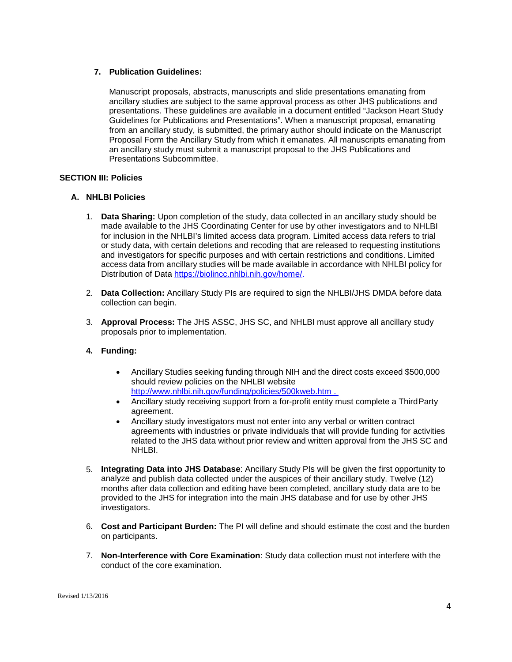## **7. Publication Guidelines:**

Manuscript proposals, abstracts, manuscripts and slide presentations emanating from ancillary studies are subject to the same approval process as other JHS publications and presentations. These guidelines are available in a document entitled "Jackson Heart Study Guidelines for Publications and Presentations". When a manuscript proposal, emanating from an ancillary study, is submitted, the primary author should indicate on the Manuscript Proposal Form the Ancillary Study from which it emanates. All manuscripts emanating from an ancillary study must submit a manuscript proposal to the JHS Publications and Presentations Subcommittee.

## **SECTION III: Policies**

## **A. NHLBI Policies**

- 1. **Data Sharing:** Upon completion of the study, data collected in an ancillary study should be made available to the JHS Coordinating Center for use by other investigators and to NHLBI for inclusion in the NHLBI's limited access data program. Limited access data refers to trial or study data, with certain deletions and recoding that are released to requesting institutions and investigators for specific purposes and with certain restrictions and conditions. Limited access data from ancillary studies will be made available in accordance with NHLBI policy for Distribution of Data [https://biolincc.nhlbi.nih.gov/home/.](https://biolincc.nhlbi.nih.gov/home/)
- 2. **Data Collection:** Ancillary Study PIs are required to sign the NHLBI/JHS DMDA before data collection can begin.
- 3. **Approval Process:** The JHS ASSC, JHS SC, and NHLBI must approve all ancillary study proposals prior to implementation.

## **4. Funding:**

- Ancillary Studies seeking funding through NIH and the direct costs exceed \$500,000 should review policies on the NHLBI websit[e](http://www.nhlbi.nih.gov/funding/policies/500kweb.htm) <http://www.nhlbi.nih.gov/funding/policies/500kweb.htm> .
- Ancillary study receiving support from a for-profit entity must complete a Third Party agreement.
- Ancillary study investigators must not enter into any verbal or written contract agreements with industries or private individuals that will provide funding for activities related to the JHS data without prior review and written approval from the JHS SC and NHLBI.
- 5. **Integrating Data into JHS Database**: Ancillary Study PIs will be given the first opportunity to analyze and publish data collected under the auspices of their ancillary study. Twelve (12) months after data collection and editing have been completed, ancillary study data are to be provided to the JHS for integration into the main JHS database and for use by other JHS investigators.
- 6. **Cost and Participant Burden:** The PI will define and should estimate the cost and the burden on participants.
- 7. **Non-Interference with Core Examination**: Study data collection must not interfere with the conduct of the core examination.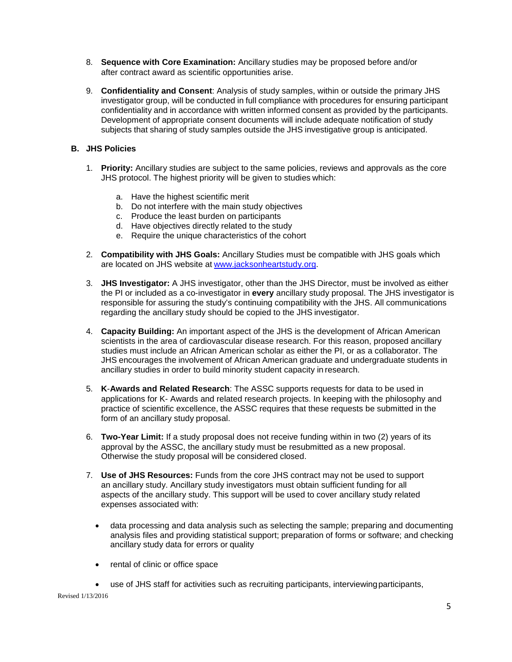- 8. **Sequence with Core Examination:** Ancillary studies may be proposed before and/or after contract award as scientific opportunities arise.
- 9. **Confidentiality and Consent**: Analysis of study samples, within or outside the primary JHS investigator group, will be conducted in full compliance with procedures for ensuring participant confidentiality and in accordance with written informed consent as provided by the participants. Development of appropriate consent documents will include adequate notification of study subjects that sharing of study samples outside the JHS investigative group is anticipated.

## **B. JHS Policies**

- 1. **Priority:** Ancillary studies are subject to the same policies, reviews and approvals as the core JHS protocol. The highest priority will be given to studies which:
	- a. Have the highest scientific merit
	- b. Do not interfere with the main study objectives
	- c. Produce the least burden on participants
	- d. Have objectives directly related to the study
	- e. Require the unique characteristics of the cohort
- 2. **Compatibility with JHS Goals:** Ancillary Studies must be compatible with JHS goals which are located on JHS website at [www.jacksonheartstudy.org.](http://www.jacksonheartstudy.org/)
- 3. **JHS Investigator:** A JHS investigator, other than the JHS Director, must be involved as either the PI or included as a co-investigator in **every** ancillary study proposal. The JHS investigator is responsible for assuring the study's continuing compatibility with the JHS. All communications regarding the ancillary study should be copied to the JHS investigator.
- 4. **Capacity Building:** An important aspect of the JHS is the development of African American scientists in the area of cardiovascular disease research. For this reason, proposed ancillary studies must include an African American scholar as either the PI, or as a collaborator. The JHS encourages the involvement of African American graduate and undergraduate students in ancillary studies in order to build minority student capacity in research.
- 5. **K**-**Awards and Related Research**: The ASSC supports requests for data to be used in applications for K- Awards and related research projects. In keeping with the philosophy and practice of scientific excellence, the ASSC requires that these requests be submitted in the form of an ancillary study proposal.
- 6. **Two-Year Limit:** If a study proposal does not receive funding within in two (2) years of its approval by the ASSC, the ancillary study must be resubmitted as a new proposal. Otherwise the study proposal will be considered closed.
- 7. **Use of JHS Resources:** Funds from the core JHS contract may not be used to support an ancillary study. Ancillary study investigators must obtain sufficient funding for all aspects of the ancillary study. This support will be used to cover ancillary study related expenses associated with:
	- data processing and data analysis such as selecting the sample; preparing and documenting analysis files and providing statistical support; preparation of forms or software; and checking ancillary study data for errors or quality
	- rental of clinic or office space
	- use of JHS staff for activities such as recruiting participants, interviewingparticipants,